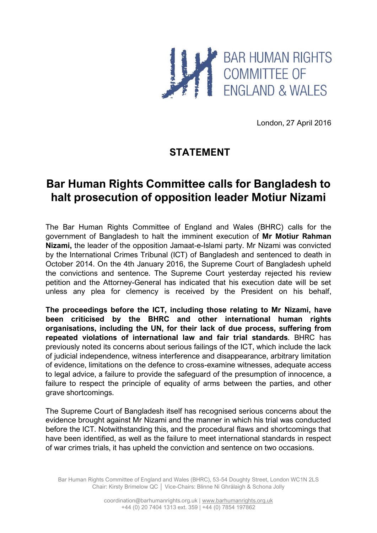

London, 27 April 2016

## **STATEMENT**

## **Bar Human Rights Committee calls for Bangladesh to halt prosecution of opposition leader Motiur Nizami**

The Bar Human Rights Committee of England and Wales (BHRC) calls for the government of Bangladesh to halt the imminent execution of **Mr Motiur Rahman Nizami,** the leader of the opposition Jamaat-e-Islami party. Mr Nizami was convicted by the International Crimes Tribunal (ICT) of Bangladesh and sentenced to death in October 2014. On the 4th January 2016, the Supreme Court of Bangladesh upheld the convictions and sentence. The Supreme Court yesterday rejected his review petition and the Attorney-General has indicated that his execution date will be set unless any plea for clemency is received by the President on his behalf,

**The proceedings before the ICT, including those relating to Mr Nizami, have been criticised by the BHRC and other international human rights organisations, including the UN, for their lack of due process, suffering from repeated violations of international law and fair trial standards**. BHRC has previously noted its concerns about serious failings of the ICT, which include the lack of judicial independence, witness interference and disappearance, arbitrary limitation of evidence, limitations on the defence to cross-examine witnesses, adequate access to legal advice, a failure to provide the safeguard of the presumption of innocence, a failure to respect the principle of equality of arms between the parties, and other grave shortcomings.

The Supreme Court of Bangladesh itself has recognised serious concerns about the evidence brought against Mr Nizami and the manner in which his trial was conducted before the ICT. Notwithstanding this, and the procedural flaws and shortcomings that have been identified, as well as the failure to meet international standards in respect of war crimes trials, it has upheld the conviction and sentence on two occasions.

Bar Human Rights Committee of England and Wales (BHRC), 53-54 Doughty Street, London WC1N 2LS Chair: Kirsty Brimelow QC │ Vice-Chairs: Blinne Ní Ghrálaigh & Schona Jolly